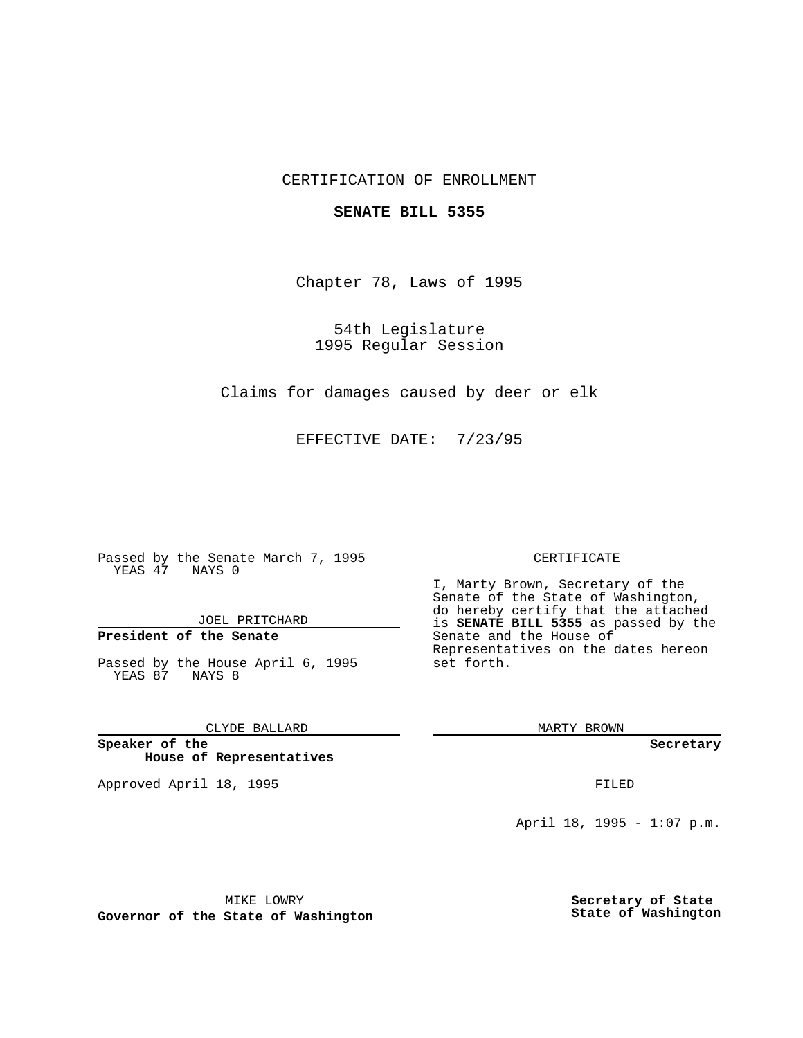### CERTIFICATION OF ENROLLMENT

#### **SENATE BILL 5355**

Chapter 78, Laws of 1995

54th Legislature 1995 Regular Session

Claims for damages caused by deer or elk

EFFECTIVE DATE: 7/23/95

Passed by the Senate March 7, 1995 YEAS 47 NAYS 0

JOEL PRITCHARD

# **President of the Senate**

Passed by the House April 6, 1995 YEAS 87 NAYS 8

CLYDE BALLARD

**Speaker of the House of Representatives**

Approved April 18, 1995 FILED

#### CERTIFICATE

I, Marty Brown, Secretary of the Senate of the State of Washington, do hereby certify that the attached is **SENATE BILL 5355** as passed by the Senate and the House of Representatives on the dates hereon set forth.

MARTY BROWN

**Secretary**

April 18, 1995 - 1:07 p.m.

MIKE LOWRY

**Governor of the State of Washington**

**Secretary of State State of Washington**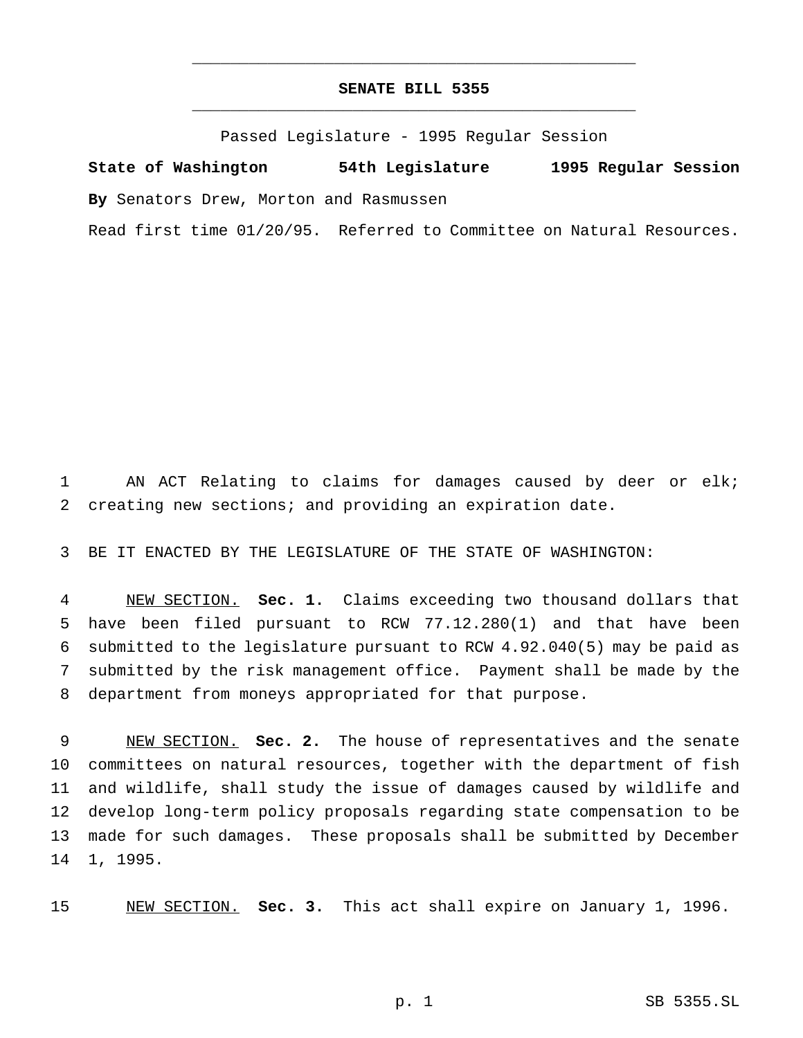## **SENATE BILL 5355** \_\_\_\_\_\_\_\_\_\_\_\_\_\_\_\_\_\_\_\_\_\_\_\_\_\_\_\_\_\_\_\_\_\_\_\_\_\_\_\_\_\_\_\_\_\_\_

\_\_\_\_\_\_\_\_\_\_\_\_\_\_\_\_\_\_\_\_\_\_\_\_\_\_\_\_\_\_\_\_\_\_\_\_\_\_\_\_\_\_\_\_\_\_\_

Passed Legislature - 1995 Regular Session

**State of Washington 54th Legislature 1995 Regular Session By** Senators Drew, Morton and Rasmussen

Read first time 01/20/95. Referred to Committee on Natural Resources.

 AN ACT Relating to claims for damages caused by deer or elk; creating new sections; and providing an expiration date.

BE IT ENACTED BY THE LEGISLATURE OF THE STATE OF WASHINGTON:

 NEW SECTION. **Sec. 1.** Claims exceeding two thousand dollars that have been filed pursuant to RCW 77.12.280(1) and that have been submitted to the legislature pursuant to RCW 4.92.040(5) may be paid as submitted by the risk management office. Payment shall be made by the department from moneys appropriated for that purpose.

 NEW SECTION. **Sec. 2.** The house of representatives and the senate committees on natural resources, together with the department of fish and wildlife, shall study the issue of damages caused by wildlife and develop long-term policy proposals regarding state compensation to be made for such damages. These proposals shall be submitted by December 1, 1995.

NEW SECTION. **Sec. 3.** This act shall expire on January 1, 1996.